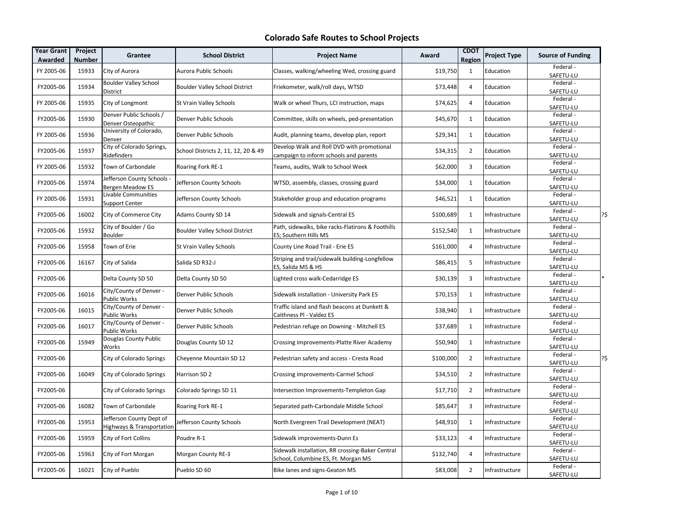| Year Grant<br>Awarded | Project<br><b>Number</b> | Grantee                                               | <b>School District</b>                | <b>Project Name</b>                                                                     | Award     | <b>CDOT</b><br>Region | <b>Project Type</b> | <b>Source of Funding</b>     |
|-----------------------|--------------------------|-------------------------------------------------------|---------------------------------------|-----------------------------------------------------------------------------------------|-----------|-----------------------|---------------------|------------------------------|
| FY 2005-06            | 15933                    | City of Aurora                                        | Aurora Public Schools                 | Classes, walking/wheeling Wed, crossing guard                                           | \$19,750  | $\mathbf{1}$          | Education           | Federal-<br>SAFETU-LU        |
| FY2005-06             | 15934                    | <b>Boulder Valley School</b><br>District              | <b>Boulder Valley School District</b> | Friekometer, walk/roll days, WTSD                                                       | \$73,448  | 4                     | Education           | Federal-<br>SAFETU-LU        |
| FY 2005-06            | 15935                    | City of Longmont                                      | St Vrain Valley Schools               | Walk or wheel Thurs, LCI instruction, maps                                              | \$74,625  | 4                     | Education           | Federal -<br>SAFETU-LU       |
| FY2005-06             | 15930                    | Denver Public Schools /<br>Denver Osteopathic         | Denver Public Schools                 | Committee, skills on wheels, ped-presentation                                           | \$45,670  | $\mathbf{1}$          | Education           | Federal -<br>SAFETU-LU       |
| FY 2005-06            | 15936                    | University of Colorado,<br>Denver                     | Denver Public Schools                 | Audit, planning teams, develop plan, report                                             | \$29,341  | $\mathbf{1}$          | Education           | Federal-<br>SAFETU-LU        |
| FY2005-06             | 15937                    | City of Colorado Springs,<br>Ridefinders              | School Districts 2, 11, 12, 20 & 49   | Develop Walk and Roll DVD with promotional<br>campaign to inform schools and parents    | \$34,315  | $\overline{2}$        | Education           | Federal-<br>SAFETU-LU        |
| FY 2005-06            | 15932                    | Town of Carbondale                                    | Roaring Fork RE-1                     | Teams, audits, Walk to School Week                                                      | \$62,000  | 3                     | Education           | Federal -<br>SAFETU-LU       |
| FY2005-06             | 15974                    | Jefferson County Schools -<br><b>Bergen Meadow ES</b> | Jefferson County Schools              | WTSD, assembly, classes, crossing guard                                                 | \$34,000  | $\mathbf{1}$          | Education           | Federal -<br>SAFETU-LU       |
| FY 2005-06            | 15931                    | Livable Communities<br><b>Support Center</b>          | Jefferson County Schools              | Stakeholder group and education programs                                                | \$46,521  | $\mathbf{1}$          | Education           | Federal -<br>SAFETU-LU       |
| FY2005-06             | 16002                    | City of Commerce City                                 | Adams County SD 14                    | Sidewalk and signals-Central ES                                                         | \$100,689 | $\mathbf{1}$          | Infrastructure      | Federal-<br>?\$<br>SAFETU-LU |
| FY2005-06             | 15932                    | City of Boulder / Go<br>Boulder                       | <b>Boulder Valley School District</b> | Path, sidewalks, bike racks-Flatirons & Foothills<br>ES; Southern Hills MS              | \$152,540 | $\mathbf{1}$          | Infrastructure      | Federal-<br>SAFETU-LU        |
| FY2005-06             | 15958                    | Town of Erie                                          | St Vrain Valley Schools               | County Line Road Trail - Erie ES                                                        | \$161,000 | 4                     | Infrastructure      | Federal -<br>SAFETU-LU       |
| FY2005-06             | 16167                    | City of Salida                                        | Salida SD R32-J                       | Striping and trail/sidewalk building-Longfellow<br>ES, Salida MS & HS                   | \$86,415  | 5                     | Infrastructure      | Federal-<br>SAFETU-LU        |
| FY2005-06             |                          | Delta County SD 50                                    | Delta County SD 50                    | Lighted cross walk-Cedarridge ES                                                        | \$30,139  | 3                     | Infrastructure      | Federal-<br>SAFETU-LU        |
| FY2005-06             | 16016                    | City/County of Denver -<br><b>Public Works</b>        | Denver Public Schools                 | Sidewalk installation - University Park ES                                              | \$70,153  | $\mathbf{1}$          | Infrastructure      | Federal-<br>SAFETU-LU        |
| FY2005-06             | 16015                    | City/County of Denver -<br><b>Public Works</b>        | Denver Public Schools                 | Traffic island and flash beacons at Dunkett &<br>Caithness PI - Valdez ES               | \$38,940  | $\mathbf{1}$          | Infrastructure      | Federal-<br>SAFETU-LU        |
| FY2005-06             | 16017                    | City/County of Denver -<br>Public Works               | Denver Public Schools                 | Pedestrian refuge on Downing - Mitchell ES                                              | \$37,689  | $\mathbf{1}$          | Infrastructure      | Federal-<br>SAFETU-LU        |
| FY2005-06             | 15949                    | Douglas County Public<br>Works                        | Douglas County SD 12                  | Crossing improvements-Platte River Academy                                              | \$50,940  | $\mathbf{1}$          | Infrastructure      | Federal-<br>SAFETU-LU        |
| FY2005-06             |                          | City of Colorado Springs                              | Cheyenne Mountain SD 12               | Pedestrian safety and access - Cresta Road                                              | \$100,000 | $\overline{2}$        | Infrastructure      | Federal-<br>?\$<br>SAFETU-LU |
| FY2005-06             | 16049                    | City of Colorado Springs                              | Harrison SD 2                         | Crossing improvements-Carmel School                                                     | \$34,510  | $\overline{2}$        | Infrastructure      | Federal-<br>SAFETU-LU        |
| FY2005-06             |                          | City of Colorado Springs                              | Colorado Springs SD 11                | Intersection Improvements-Templeton Gap                                                 | \$17,710  | $\overline{2}$        | Infrastructure      | Federal -<br>SAFETU-LU       |
| FY2005-06             | 16082                    | Town of Carbondale                                    | Roaring Fork RE-1                     | Separated path-Carbondale Middle School                                                 | \$85,647  | 3                     | Infrastructure      | Federal-<br>SAFETU-LU        |
| FY2005-06             | 15953                    | Jefferson County Dept of<br>Highways & Transportation | Jefferson County Schools              | North Evergreen Trail Development (NEAT)                                                | \$48,910  | $\mathbf{1}$          | Infrastructure      | Federal-<br>SAFETU-LU        |
| FY2005-06             | 15959                    | City of Fort Collins                                  | Poudre R-1                            | Sidewalk improvements-Dunn Es                                                           | \$33,123  | 4                     | Infrastructure      | Federal -<br>SAFETU-LU       |
| FY2005-06             | 15963                    | City of Fort Morgan                                   | <b>Morgan County RE-3</b>             | Sidewalk installation, RR crossing-Baker Central<br>School, Columbine ES, Ft. Morgan MS | \$132,740 | 4                     | Infrastructure      | Federal-<br>SAFETU-LU        |
| FY2005-06             | 16021                    | City of Pueblo                                        | Pueblo SD 60                          | Bike lanes and signs-Geaton MS                                                          | \$83,008  | $\overline{2}$        | Infrastructure      | Federal-<br>SAFETU-LU        |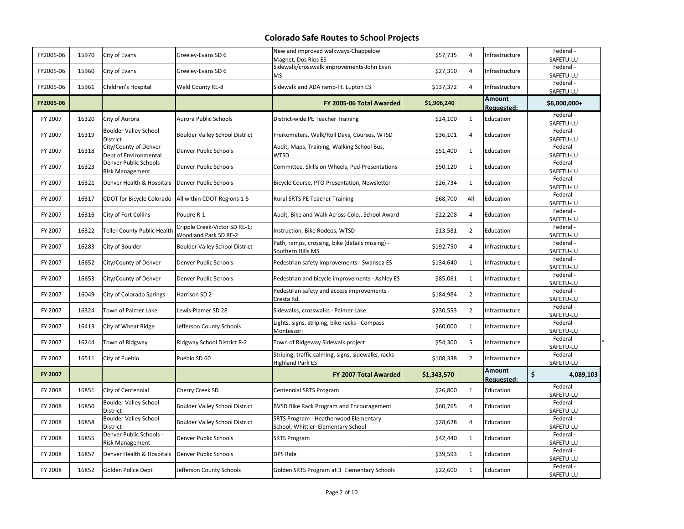| FY2005-06 | 15970 | City of Evans                                     | Greeley-Evans SD 6                                     | New and improved walkways-Chappelow<br>Magnet, Dos Rios ES                      | \$57,735    | $\overline{4}$ | Infrastructure              | Federal-<br>SAFETU-LU  |
|-----------|-------|---------------------------------------------------|--------------------------------------------------------|---------------------------------------------------------------------------------|-------------|----------------|-----------------------------|------------------------|
| FY2005-06 | 15960 | City of Evans                                     | Greeley-Evans SD 6                                     | Sidewalk/crosswalk improvements-John Evan<br>ΜS                                 | \$27,310    | $\overline{4}$ | Infrastructure              | Federal -<br>SAFETU-LU |
| FY2005-06 | 15961 | Children's Hospital                               | Weld County RE-8                                       | Sidewalk and ADA ramp-Ft. Lupton ES                                             | \$137,372   | $\overline{4}$ | Infrastructure              | Federal-<br>SAFETU-LU  |
| FY2005-06 |       |                                                   |                                                        | FY 2005-06 Total Awarded                                                        | \$1,906,240 |                | Amount<br><b>Requested:</b> | $$6,000,000+$          |
| FY 2007   | 16320 | City of Aurora                                    | Aurora Public Schools                                  | District-wide PE Teacher Training                                               | \$24,100    | $\mathbf{1}$   | Education                   | Federal-<br>SAFETU-LU  |
| FY 2007   | 16319 | <b>Boulder Valley School</b><br>District          | <b>Boulder Valley School District</b>                  | Freikometers, Walk/Roll Days, Courses, WTSD                                     | \$36,101    | $\overline{4}$ | Education                   | Federal-<br>SAFETU-LU  |
| FY 2007   | 16318 | City/County of Denver -<br>Dept of Environmental  | Denver Public Schools                                  | Audit, Maps, Training, Walking School Bus,<br><b>WTSD</b>                       | \$51,400    | $\mathbf{1}$   | Education                   | Federal-<br>SAFETU-LU  |
| FY 2007   | 16323 | Denver Public Schools -<br><b>Risk Management</b> | Denver Public Schools                                  | Committee, Skills on Wheels, Ped-Presentations                                  | \$50,120    | $\mathbf{1}$   | Education                   | Federal-<br>SAFETU-LU  |
| FY 2007   | 16321 | Denver Health & Hospitals                         | Denver Public Schools                                  | Bicycle Course, PTO Presentation, Newsletter                                    | \$26,734    | $\mathbf{1}$   | Education                   | Federal-<br>SAFETU-LU  |
| FY 2007   | 16317 | CDOT for Bicycle Colorado                         | All within CDOT Regions 1-5                            | Rural SRTS PE Teacher Training                                                  | \$68,700    | All            | Education                   | Federal-<br>SAFETU-LU  |
| FY 2007   | 16316 | City of Fort Collins                              | Poudre R-1                                             | Audit, Bike and Walk Across Colo., School Award                                 | \$22,208    | 4              | Education                   | Federal -<br>SAFETU-LU |
| FY 2007   | 16322 | <b>Teller County Public Health</b>                | Cripple Creek-Victor SD RE-1;<br>Woodland Park SD RE-2 | Instruction, Bike Rodeos, WTSD                                                  | \$13,581    | $\overline{2}$ | Education                   | Federal-<br>SAFETU-LU  |
| FY 2007   | 16283 | City of Boulder                                   | <b>Boulder Valley School District</b>                  | Path, ramps, crossing, bike (details missing) -<br>Southern Hills MS            | \$192,750   | $\overline{4}$ | Infrastructure              | Federal -<br>SAFETU-LU |
| FY 2007   | 16652 | City/County of Denver                             | Denver Public Schools                                  | Pedestrian safety improvements - Swansea ES                                     | \$134,640   | $\mathbf{1}$   | Infrastructure              | Federal-<br>SAFETU-LU  |
| FY 2007   | 16653 | City/County of Denver                             | Denver Public Schools                                  | Pedestrian and bicycle improvements - Ashley ES                                 | \$85,061    | $\mathbf{1}$   | Infrastructure              | Federal -<br>SAFETU-LU |
| FY 2007   | 16049 | City of Colorado Springs                          | Harrison SD 2                                          | Pedestrian safety and access improvements -<br>Cresta Rd.                       | \$184,984   | $\overline{2}$ | Infrastructure              | Federal -<br>SAFETU-LU |
| FY 2007   | 16324 | Town of Palmer Lake                               | Lewis-Plamer SD 28                                     | Sidewalks, crosswalks - Palmer Lake                                             | \$230,553   | $\overline{2}$ | Infrastructure              | Federal -<br>SAFETU-LU |
| FY 2007   | 16413 | City of Wheat Ridge                               | Jefferson County Schools                               | .ights, signs, striping, bike racks - Compass<br>Montessori                     | \$60,000    | $\mathbf{1}$   | Infrastructure              | Federal-<br>SAFETU-LU  |
| FY 2007   | 16244 | Town of Ridgway                                   | Ridgway School District R-2                            | Town of Ridgeway Sidewalk project                                               | \$54,300    | 5              | Infrastructure              | Federal-<br>SAFETU-LU  |
| FY 2007   | 16511 | City of Pueblo                                    | Pueblo SD 60                                           | Striping, traffic calming, signs, sidewalks, racks -<br><b>Highland Park ES</b> | \$108,338   | $\overline{2}$ | Infrastructure              | Federal-<br>SAFETU-LU  |
| FY 2007   |       |                                                   |                                                        | FY 2007 Total Awarded                                                           | \$1,343,570 |                | Amount<br>Requested:        | \$<br>4,089,103        |
| FY 2008   | 16851 | City of Centennial                                | Cherry Creek SD                                        | Centennial SRTS Program                                                         | \$26,800    | $\mathbf{1}$   | Education                   | Federal-<br>SAFETU-LU  |
| FY 2008   | 16850 | <b>Boulder Valley School</b><br>District          | <b>Boulder Valley School District</b>                  | BVSD Bike Rack Program and Encouragement                                        | \$60,765    | $\overline{4}$ | Education                   | Federal-<br>SAFETU-LU  |
| FY 2008   | 16858 | <b>Boulder Valley School</b><br>District          | <b>Boulder Valley School District</b>                  | SRTS Program - Heatherwood Elementary<br>School, Whittier Elementary School     | \$28,628    | $\overline{4}$ | Education                   | Federal-<br>SAFETU-LU  |
| FY 2008   | 16855 | Denver Public Schools -<br><b>Risk Management</b> | Denver Public Schools                                  | <b>SRTS Program</b>                                                             | \$42,440    | $\mathbf{1}$   | Education                   | Federal-<br>SAFETU-LU  |
| FY 2008   | 16857 | Denver Health & Hospitals                         | Denver Public Schools                                  | <b>DPS Ride</b>                                                                 | \$39,593    | $\mathbf{1}$   | Education                   | Federal-<br>SAFETU-LU  |
| FY 2008   | 16852 | Golden Police Dept                                | Jefferson County Schools                               | Golden SRTS Program at 3 Elementary Schools                                     | \$22,600    | $\mathbf{1}$   | Education                   | Federal-<br>SAFETU-LU  |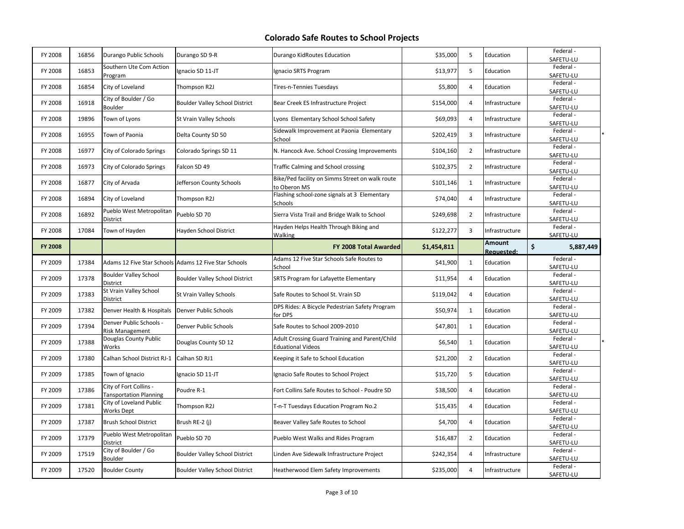| FY 2008        | 16856 | Durango Public Schools                                  | Durango SD 9-R                                        | Durango KidRoutes Education                                                | \$35,000    | 5              | Education            | Federal-<br>SAFETU-LU               |
|----------------|-------|---------------------------------------------------------|-------------------------------------------------------|----------------------------------------------------------------------------|-------------|----------------|----------------------|-------------------------------------|
| FY 2008        | 16853 | Southern Ute Com Action<br>Program                      | Ignacio SD 11-JT                                      | Ignacio SRTS Program                                                       | \$13,977    | 5              | Education            | Federal -<br>SAFETU-LU              |
| FY 2008        | 16854 | City of Loveland                                        | Thompson R2J                                          | Tires-n-Tennies Tuesdays                                                   | \$5,800     | $\overline{4}$ | Education            | Federal-<br>SAFETU-LU               |
| FY 2008        | 16918 | City of Boulder / Go<br>Boulder                         | <b>Boulder Valley School District</b>                 | Bear Creek ES Infrastructure Project                                       | \$154,000   | $\overline{4}$ | Infrastructure       | Federal -<br>SAFETU-LU              |
| FY 2008        | 19896 | Town of Lyons                                           | St Vrain Valley Schools                               | Lyons Elementary School School Safety                                      | \$69,093    | $\overline{4}$ | Infrastructure       | Federal-<br>SAFETU-LU               |
| FY 2008        | 16955 | Town of Paonia                                          | Delta County SD 50                                    | Sidewalk Improvement at Paonia Elementary<br>School                        | \$202,419   | 3              | Infrastructure       | Federal-<br>SAFETU-LU               |
| FY 2008        | 16977 | City of Colorado Springs                                | Colorado Springs SD 11                                | N. Hancock Ave. School Crossing Improvements                               | \$104,160   | $\overline{2}$ | Infrastructure       | Federal -<br>SAFETU-LU              |
| FY 2008        | 16973 | City of Colorado Springs                                | Falcon SD 49                                          | Traffic Calming and School crossing                                        | \$102,375   | $\overline{2}$ | Infrastructure       | Federal -<br>SAFETU-LU              |
| FY 2008        | 16877 | City of Arvada                                          | Jefferson County Schools                              | Bike/Ped facility on Simms Street on walk route<br>to Oberon MS            | \$101,146   | $\mathbf{1}$   | Infrastructure       | Federal -<br>SAFETU-LU              |
| FY 2008        | 16894 | City of Loveland                                        | Thompson R2J                                          | Flashing school-zone signals at 3 Elementary<br>Schools                    | \$74,040    | $\overline{4}$ | Infrastructure       | Federal -<br>SAFETU-LU              |
| FY 2008        | 16892 | Pueblo West Metropolitan<br>District                    | Pueblo SD 70                                          | Sierra Vista Trail and Bridge Walk to School                               | \$249,698   | $\overline{2}$ | Infrastructure       | Federal-<br>SAFETU-LU               |
| FY 2008        | 17084 | Town of Hayden                                          | Hayden School District                                | Hayden Helps Health Through Biking and<br>Walking                          | \$122,277   | $\overline{3}$ | Infrastructure       | Federal-<br>SAFETU-LU               |
| <b>FY 2008</b> |       |                                                         |                                                       | FY 2008 Total Awarded                                                      | \$1,454,811 |                | Amount<br>Requested: | \$<br>5,887,449                     |
| FY 2009        | 17384 |                                                         | Adams 12 Five Star Schools Adams 12 Five Star Schools | Adams 12 Five Star Schools Safe Routes to                                  | \$41,900    | $\mathbf{1}$   | Education            | Federal-                            |
|                |       |                                                         |                                                       |                                                                            |             |                |                      |                                     |
| FY 2009        | 17378 | <b>Boulder Valley School</b><br>District                | Boulder Valley School District                        | School<br>SRTS Program for Lafayette Elementary                            | \$11,954    | $\overline{4}$ | Education            | SAFETU-LU<br>Federal -<br>SAFETU-LU |
| FY 2009        | 17383 | St Vrain Valley School<br>District                      | St Vrain Valley Schools                               | Safe Routes to School St. Vrain SD                                         | \$119,042   | $\overline{4}$ | Education            | Federal-<br>SAFETU-LU               |
| FY 2009        | 17382 | Denver Health & Hospitals                               | Denver Public Schools                                 | DPS Rides: A Bicycle Pedestrian Safety Program<br>for DPS                  | \$50,974    | $\mathbf{1}$   | Education            | Federal -<br>SAFETU-LU              |
| FY 2009        | 17394 | Denver Public Schools -<br><b>Risk Management</b>       | Denver Public Schools                                 | Safe Routes to School 2009-2010                                            | \$47,801    | $\mathbf{1}$   | Education            | Federal-<br>SAFETU-LU               |
| FY 2009        | 17388 | Douglas County Public<br>Works                          | Douglas County SD 12                                  | Adult Crossing Guard Training and Parent/Child<br><b>Eduational Videos</b> | \$6,540     | $\mathbf{1}$   | Education            | Federal-<br>SAFETU-LU               |
| FY 2009        | 17380 | Calhan School District RJ-1                             | Calhan SD RJ1                                         | Keeping it Safe to School Education                                        | \$21,200    | $\overline{2}$ | Education            | Federal-<br>SAFETU-LU               |
| FY 2009        | 17385 | Town of Ignacio                                         | Ignacio SD 11-JT                                      | Ignacio Safe Routes to School Project                                      | \$15,720    | 5              | Education            | Federal -<br>SAFETU-LU              |
| FY 2009        | 17386 | City of Fort Collins -<br><b>Tansportation Planning</b> | Poudre R-1                                            | Fort Collins Safe Routes to School - Poudre SD                             | \$38,500    | $\overline{4}$ | Education            | Federal-<br>SAFETU-LU               |
| FY 2009        | 17381 | City of Loveland Public                                 | Thompson R2J                                          | T-n-T Tuesdays Education Program No.2                                      | \$15,435    | $\overline{4}$ | Education            | Federal-<br>SAFETU-LU               |
| FY 2009        | 17387 | <b>Works Dept</b><br><b>Brush School District</b>       | Brush RE-2 (j)                                        | Beaver Valley Safe Routes to School                                        | \$4,700     | $\overline{4}$ | Education            | Federal-<br>SAFETU-LU               |
| FY 2009        | 17379 | Pueblo West Metropolitan<br>District                    | Pueblo SD 70                                          | Pueblo West Walks and Rides Program                                        | \$16,487    | $\overline{2}$ | Education            | Federal-<br>SAFETU-LU               |
| FY 2009        | 17519 | City of Boulder / Go<br><b>Boulder</b>                  | <b>Boulder Valley School District</b>                 | Linden Ave Sidewalk Infrastructure Project                                 | \$242,354   | 4              | Infrastructure       | Federal -<br>SAFETU-LU              |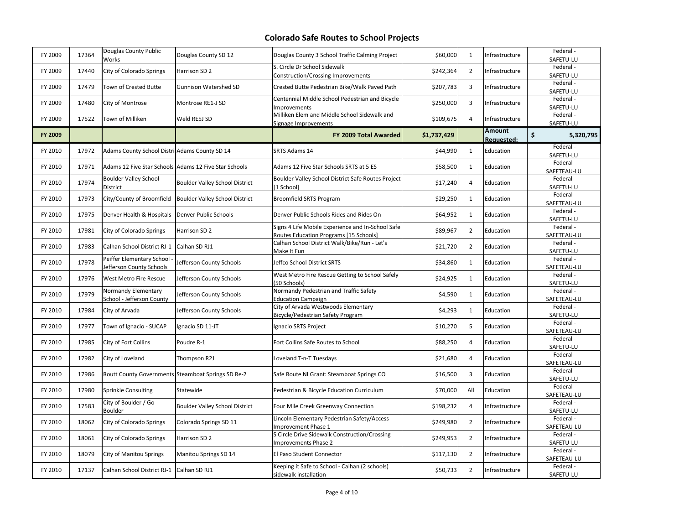| FY 2009 | 17364 | Douglas County Public<br>Works                        | Douglas County SD 12                                  | Douglas County 3 School Traffic Calming Project                                             | \$60,000    | 1              | Infrastructure       | Federal -<br>SAFETU-LU          |
|---------|-------|-------------------------------------------------------|-------------------------------------------------------|---------------------------------------------------------------------------------------------|-------------|----------------|----------------------|---------------------------------|
| FY 2009 | 17440 | City of Colorado Springs                              | Harrison SD 2                                         | S. Circle Dr School Sidewalk<br>Construction/Crossing Improvements                          | \$242,364   | 2              | Infrastructure       | Federal-<br>SAFETU-LU           |
| FY 2009 | 17479 | Town of Crested Butte                                 | <b>Gunnison Watershed SD</b>                          | Crested Butte Pedestrian Bike/Walk Paved Path                                               | \$207,783   | 3              | Infrastructure       | Federal-<br>SAFETU-LU           |
| FY 2009 | 17480 | City of Montrose                                      | Montrose RE1-J SD                                     | Centennial Middle School Pedestrian and Bicycle<br>Improvements                             | \$250,000   | 3              | Infrastructure       | Federal -<br>SAFETU-LU          |
| FY 2009 | 17522 | Town of Milliken                                      | Weld RE5J SD                                          | Milliken Elem and Middle School Sidewalk and<br>Signage Improvements                        | \$109,675   | 4              | Infrastructure       | Federal -<br>SAFETU-LU          |
| FY 2009 |       |                                                       |                                                       | FY 2009 Total Awarded                                                                       | \$1,737,429 |                | Amount<br>Reauested: | $\mathsf{\hat{S}}$<br>5,320,795 |
| FY 2010 | 17972 | Adams County School DistricAdams County SD 14         |                                                       | SRTS Adams 14                                                                               | \$44,990    | 1              | Education            | Federal -<br>SAFETU-LU          |
| FY 2010 | 17971 |                                                       | Adams 12 Five Star Schools Adams 12 Five Star Schools | Adams 12 Five Star Schools SRTS at 5 ES                                                     | \$58,500    | $\mathbf{1}$   | Education            | Federal-<br>SAFETEAU-LU         |
| FY 2010 | 17974 | <b>Boulder Valley School</b><br>District              | <b>Boulder Valley School District</b>                 | Boulder Valley School District Safe Routes Project<br>[1 School]                            | \$17,240    | $\overline{4}$ | Education            | Federal -<br>SAFETU-LU          |
| FY 2010 | 17973 | City/County of Broomfield                             | Boulder Valley School District                        | Broomfield SRTS Program                                                                     | \$29,250    | $\mathbf{1}$   | Education            | Federal-<br>SAFETEAU-LU         |
| FY 2010 | 17975 | Denver Health & Hospitals Denver Public Schools       |                                                       | Denver Public Schools Rides and Rides On                                                    | \$64,952    | $\mathbf{1}$   | Education            | Federal -<br>SAFETU-LU          |
| FY 2010 | 17981 | City of Colorado Springs                              | Harrison SD 2                                         | Signs 4 Life Mobile Experience and In-School Safe<br>Routes Education Programs [15 Schools] | \$89,967    | $\overline{2}$ | Education            | Federal -<br>SAFETEAU-LU        |
| FY 2010 | 17983 | Calhan School District RJ-1                           | Calhan SD RJ1                                         | Calhan School District Walk/Bike/Run - Let's<br>Make It Fun                                 | \$21,720    | $\overline{2}$ | Education            | Federal-<br>SAFETU-LU           |
| FY 2010 | 17978 | Peiffer Elementary School<br>Jefferson County Schools | Jefferson County Schools                              | Jeffco School District SRTS                                                                 | \$34,860    | $\mathbf{1}$   | Education            | Federal -<br>SAFETEAU-LU        |
| FY 2010 | 17976 | West Metro Fire Rescue                                | Jefferson County Schools                              | West Metro Fire Rescue Getting to School Safely<br>(50 Schools)                             | \$24,925    | $\mathbf{1}$   | Education            | Federal -<br>SAFETU-LU          |
| FY 2010 | 17979 | Normandy Elementary<br>School - Jefferson County      | Jefferson County Schools                              | Normandy Pedestrian and Traffic Safety<br><b>Education Campaign</b>                         | \$4,590     | $\mathbf{1}$   | Education            | Federal -<br>SAFETEAU-LU        |
| FY 2010 | 17984 | City of Arvada                                        | Jefferson County Schools                              | City of Arvada Westwoods Elementary<br>Bicycle/Pedestrian Safety Program                    | \$4,293     | $\mathbf{1}$   | Education            | Federal -<br>SAFETU-LU          |
| FY 2010 | 17977 | Town of Ignacio - SUCAP                               | Ignacio SD 11-JT                                      | Ignacio SRTS Project                                                                        | \$10,270    | 5              | Education            | Federal -<br>SAFETEAU-LU        |
| FY 2010 | 17985 | City of Fort Collins                                  | Poudre R-1                                            | Fort Collins Safe Routes to School                                                          | \$88,250    | $\overline{4}$ | Education            | Federal -<br>SAFETU-LU          |
| FY 2010 | 17982 | City of Loveland                                      | Thompson R2J                                          | Loveland T-n-T Tuesdays                                                                     | \$21,680    | 4              | Education            | Federal-<br>SAFETEAU-LU         |
| FY 2010 | 17986 |                                                       | Routt County Governments Steamboat Springs SD Re-2    | Safe Route NI Grant: Steamboat Springs CO                                                   | \$16,500    | $\overline{3}$ | Education            | Federal -<br>SAFETU-LU          |
| FY 2010 | 17980 | Sprinkle Consulting                                   | Statewide                                             | Pedestrian & Bicycle Education Curriculum                                                   | \$70,000    | All            | Education            | Federal -<br>SAFETEAU-LU        |
| FY 2010 | 17583 | City of Boulder / Go<br>Boulder                       | <b>Boulder Valley School District</b>                 | Four Mile Creek Greenway Connection                                                         | \$198,232   | 4              | Infrastructure       | Federal -<br>SAFETU-LU          |
| FY 2010 | 18062 | City of Colorado Springs                              | Colorado Springs SD 11                                | Lincoln Elementary Pedestrian Safety/Access<br>Improvement Phase 1                          | \$249,980   | $\overline{2}$ | Infrastructure       | Federal -<br>SAFETEAU-LU        |
| FY 2010 | 18061 | City of Colorado Springs                              | Harrison SD 2                                         | S Circle Drive Sidewalk Construction/Crossing<br>Improvements Phase 2                       | \$249,953   | $\overline{2}$ | Infrastructure       | Federal -<br>SAFETU-LU          |
| FY 2010 | 18079 | City of Manitou Springs                               | Manitou Springs SD 14                                 | El Paso Student Connector                                                                   | \$117,130   | $\overline{2}$ | Infrastructure       | Federal-<br>SAFETEAU-LU         |
| FY 2010 | 17137 | Calhan School District RJ-1 Calhan SD RJ1             |                                                       | Keeping it Safe to School - Calhan (2 schools)<br>sidewalk installation                     | \$50,733    | $\overline{2}$ | Infrastructure       | Federal-<br>SAFETU-LU           |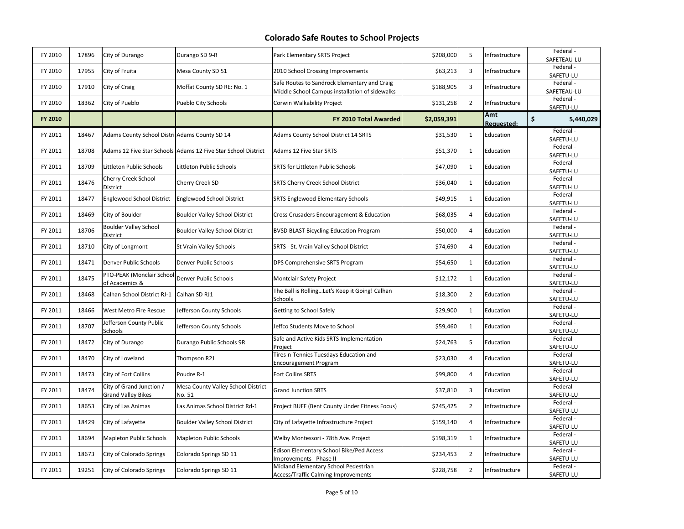| FY 2010 | 17896 | City of Durango                                       | Durango SD 9-R                                                | Park Elementary SRTS Project                                                                   | \$208,000   | 5              | Infrastructure    | Federal -<br>SAFETEAU-LU |
|---------|-------|-------------------------------------------------------|---------------------------------------------------------------|------------------------------------------------------------------------------------------------|-------------|----------------|-------------------|--------------------------|
| FY 2010 | 17955 | City of Fruita                                        | Mesa County SD 51                                             | 2010 School Crossing Improvements                                                              | \$63,213    | 3              | Infrastructure    | Federal-<br>SAFETU-LU    |
| FY 2010 | 17910 | City of Craig                                         | Moffat County SD RE: No. 1                                    | Safe Routes to Sandrock Elementary and Craig<br>Middle School Campus installation of sidewalks | \$188,905   | 3              | Infrastructure    | Federal -<br>SAFETEAU-LU |
| FY 2010 | 18362 | City of Pueblo                                        | Pueblo City Schools                                           | Corwin Walkability Project                                                                     | \$131,258   | $\overline{2}$ | Infrastructure    | Federal -<br>SAFETU-LU   |
| FY 2010 |       |                                                       |                                                               | FY 2010 Total Awarded                                                                          | \$2,059,391 |                | Amt<br>Requested: | \$<br>5,440,029          |
| FY 2011 | 18467 | Adams County School DistricAdams County SD 14         |                                                               | <b>Adams County School District 14 SRTS</b>                                                    | \$31,530    | $\mathbf{1}$   | Education         | Federal -<br>SAFETU-LU   |
| FY 2011 | 18708 |                                                       | Adams 12 Five Star Schools Adams 12 Five Star School District | Adams 12 Five Star SRTS                                                                        | \$51,370    | 1              | Education         | Federal-<br>SAFETU-LU    |
| FY 2011 | 18709 | Littleton Public Schools                              | Littleton Public Schools                                      | SRTS for Littleton Public Schools                                                              | \$47,090    | $\mathbf{1}$   | Education         | Federal -<br>SAFETU-LU   |
| FY 2011 | 18476 | Cherry Creek School<br>District                       | Cherry Creek SD                                               | SRTS Cherry Creek School District                                                              | \$36,040    | $\mathbf{1}$   | Education         | Federal -<br>SAFETU-LU   |
| FY 2011 | 18477 | <b>Englewood School District</b>                      | <b>Englewood School District</b>                              | <b>SRTS Englewood Elementary Schools</b>                                                       | \$49,915    | $\mathbf{1}$   | Education         | Federal -<br>SAFETU-LU   |
| FY 2011 | 18469 | City of Boulder                                       | <b>Boulder Valley School District</b>                         | Cross Crusaders Encouragement & Education                                                      | \$68,035    | 4              | Education         | Federal -<br>SAFETU-LU   |
| FY 2011 | 18706 | <b>Boulder Valley School</b><br>District              | <b>Boulder Valley School District</b>                         | <b>BVSD BLAST Bicycling Education Program</b>                                                  | \$50,000    | 4              | Education         | Federal-<br>SAFETU-LU    |
| FY 2011 | 18710 | City of Longmont                                      | St Vrain Valley Schools                                       | SRTS - St. Vrain Valley School District                                                        | \$74,690    | 4              | Education         | Federal -<br>SAFETU-LU   |
| FY 2011 | 18471 | Denver Public Schools                                 | Denver Public Schools                                         | DPS Comprehensive SRTS Program                                                                 | \$54,650    | $\mathbf{1}$   | Education         | Federal -<br>SAFETU-LU   |
| FY 2011 | 18475 | PTO-PEAK (Monclair School<br>of Academics &           | Denver Public Schools                                         | Montclair Safety Project                                                                       | \$12,172    | $\mathbf{1}$   | Education         | Federal-<br>SAFETU-LU    |
| FY 2011 | 18468 | Calhan School District RJ-1                           | Calhan SD RJ1                                                 | The Ball is RollingLet's Keep it Going! Calhan<br>Schools                                      | \$18,300    | $\overline{2}$ | Education         | Federal -<br>SAFETU-LU   |
| FY 2011 | 18466 | West Metro Fire Rescue                                | Jefferson County Schools                                      | Getting to School Safely                                                                       | \$29,900    | $\mathbf{1}$   | Education         | Federal -<br>SAFETU-LU   |
| FY 2011 | 18707 | Jefferson County Public<br>Schools                    | Jefferson County Schools                                      | Jeffco Students Move to School                                                                 | \$59,460    | $\mathbf{1}$   | Education         | Federal -<br>SAFETU-LU   |
| FY 2011 | 18472 | City of Durango                                       | Durango Public Schools 9R                                     | Safe and Active Kids SRTS Implementation<br>Project                                            | \$24,763    | 5              | Education         | Federal -<br>SAFETU-LU   |
| FY 2011 | 18470 | City of Loveland                                      | Thompson R2J                                                  | Tires-n-Tennies Tuesdays Education and<br>Encouragement Program                                | \$23,030    | 4              | Education         | Federal -<br>SAFETU-LU   |
| FY 2011 | 18473 | City of Fort Collins                                  | Poudre R-1                                                    | Fort Collins SRTS                                                                              | \$99,800    | 4              | Education         | Federal -<br>SAFETU-LU   |
| FY 2011 | 18474 | City of Grand Junction /<br><b>Grand Valley Bikes</b> | Mesa County Valley School District<br>No. 51                  | <b>Grand Junction SRTS</b>                                                                     | \$37,810    | 3              | Education         | Federal -<br>SAFETU-LU   |
| FY 2011 | 18653 | City of Las Animas                                    | Las Animas School District Rd-1                               | Project BUFF (Bent County Under Fitness Focus)                                                 | \$245,425   | $\overline{2}$ | Infrastructure    | Federal -<br>SAFETU-LU   |
| FY 2011 | 18429 | City of Lafayette                                     | <b>Boulder Valley School District</b>                         | City of Lafayette Infrastructure Project                                                       | \$159,140   | 4              | Infrastructure    | Federal-<br>SAFETU-LU    |
| FY 2011 | 18694 | Mapleton Public Schools                               | <b>Mapleton Public Schools</b>                                | Welby Montessori - 78th Ave. Project                                                           | \$198,319   | $\mathbf{1}$   | Infrastructure    | Federal -<br>SAFETU-LU   |
| FY 2011 | 18673 | City of Colorado Springs                              | Colorado Springs SD 11                                        | Edison Elementary School Bike/Ped Access<br>Improvements - Phase II                            | \$234,453   | $\overline{2}$ | Infrastructure    | Federal -<br>SAFETU-LU   |
| FY 2011 | 19251 | City of Colorado Springs                              | Colorado Springs SD 11                                        | Midland Elementary School Pedestrian<br>Access/Traffic Calming Improvements                    | \$228,758   | $\overline{2}$ | Infrastructure    | Federal -<br>SAFETU-LU   |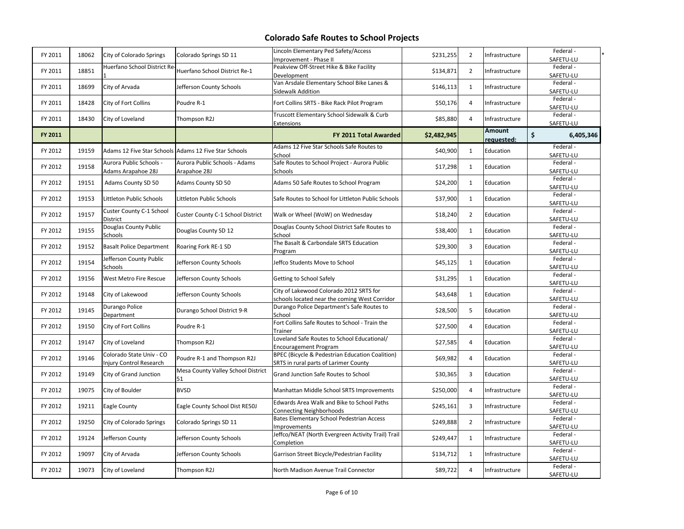| FY 2011 | 18062 | City of Colorado Springs                            | Colorado Springs SD 11                                | Lincoln Elementary Ped Safety/Access<br>Improvement - Phase II                           | \$231,255   | $\overline{2}$ | Infrastructure       | Federal -<br>SAFETU-LU |
|---------|-------|-----------------------------------------------------|-------------------------------------------------------|------------------------------------------------------------------------------------------|-------------|----------------|----------------------|------------------------|
| FY 2011 | 18851 | Huerfano School District Re                         | Huerfano School District Re-1                         | Peakview Off-Street Hike & Bike Facility<br>Development                                  | \$134,871   | $\overline{2}$ | Infrastructure       | Federal -<br>SAFETU-LU |
| FY 2011 | 18699 | City of Arvada                                      | Jefferson County Schools                              | Van Arsdale Elementary School Bike Lanes &<br>Sidewalk Addition                          | \$146,113   | $\mathbf{1}$   | Infrastructure       | Federal -<br>SAFETU-LU |
| FY 2011 | 18428 | City of Fort Collins                                | Poudre R-1                                            | Fort Collins SRTS - Bike Rack Pilot Program                                              | \$50,176    | $\overline{4}$ | Infrastructure       | Federal-<br>SAFETU-LU  |
| FY 2011 | 18430 | City of Loveland                                    | Thompson R2J                                          | Truscott Elementary School Sidewalk & Curb<br>Extensions                                 | \$85,880    | $\overline{4}$ | Infrastructure       | Federal-<br>SAFETU-LU  |
| FY 2011 |       |                                                     |                                                       | FY 2011 Total Awarded                                                                    | \$2,482,945 |                | Amount<br>requested: | \$<br>6,405,346        |
| FY 2012 | 19159 |                                                     | Adams 12 Five Star Schools Adams 12 Five Star Schools | Adams 12 Five Star Schools Safe Routes to<br>School                                      | \$40,900    | $\mathbf{1}$   | Education            | Federal-<br>SAFETU-LU  |
| FY 2012 | 19158 | Aurora Public Schools -<br>Adams Arapahoe 28J       | Aurora Public Schools - Adams<br>Arapahoe 28J         | Safe Routes to School Project - Aurora Public<br>Schools                                 | \$17,298    | $\mathbf{1}$   | Education            | Federal -<br>SAFETU-LU |
| FY 2012 | 19151 | Adams County SD 50                                  | Adams County SD 50                                    | Adams 50 Safe Routes to School Program                                                   | \$24,200    | $\mathbf{1}$   | Education            | Federal -<br>SAFETU-LU |
| FY 2012 | 19153 | Littleton Public Schools                            | Littleton Public Schools                              | Safe Routes to School for Littleton Public Schools                                       | \$37,900    | $\mathbf{1}$   | Education            | Federal -<br>SAFETU-LU |
| FY 2012 | 19157 | Custer County C-1 School<br>District                | Custer County C-1 School District                     | Walk or Wheel (WoW) on Wednesday                                                         | \$18,240    | $\overline{2}$ | Education            | Federal-<br>SAFETU-LU  |
| FY 2012 | 19155 | Douglas County Public<br>Schools                    | Douglas County SD 12                                  | Douglas County School District Safe Routes to<br>School                                  | \$38,400    | $\mathbf{1}$   | Education            | Federal-<br>SAFETU-LU  |
| FY 2012 | 19152 | <b>Basalt Police Department</b>                     | Roaring Fork RE-1 SD                                  | The Basalt & Carbondale SRTS Education<br>Program                                        | \$29,300    | 3              | Education            | Federal-<br>SAFETU-LU  |
| FY 2012 | 19154 | Jefferson County Public<br>Schools                  | Jefferson County Schools                              | Jeffco Students Move to School                                                           | \$45,125    | $\mathbf{1}$   | Education            | Federal-<br>SAFETU-LU  |
| FY 2012 | 19156 | West Metro Fire Rescue                              | Jefferson County Schools                              | Getting to School Safely                                                                 | \$31,295    | $\mathbf{1}$   | Education            | Federal -<br>SAFETU-LU |
| FY 2012 | 19148 | City of Lakewood                                    | Jefferson County Schools                              | City of Lakewood Colorado 2012 SRTS for<br>schools located near the coming West Corridor | \$43,648    | $\mathbf{1}$   | Education            | Federal -<br>SAFETU-LU |
| FY 2012 | 19145 | Durango Police<br>Department                        | Durango School District 9-R                           | Durango Police Department's Safe Routes to<br>School                                     | \$28,500    | 5              | Education            | Federal-<br>SAFETU-LU  |
| FY 2012 | 19150 | City of Fort Collins                                | Poudre R-1                                            | Fort Collins Safe Routes to School - Train the<br>Trainer                                | \$27,500    | $\overline{4}$ | Education            | Federal -<br>SAFETU-LU |
| FY 2012 | 19147 | City of Loveland                                    | Thompson R2J                                          | Loveland Safe Routes to School Educational/<br><b>Encouragement Program</b>              | \$27,585    | $\overline{4}$ | Education            | Federal -<br>SAFETU-LU |
| FY 2012 | 19146 | Colorado State Univ - CO<br>Injury Control Research | Poudre R-1 and Thompson R2J                           | BPEC (Bicycle & Pedestrian Education Coalition)<br>SRTS in rural parts of Larimer County | \$69,982    | $\overline{4}$ | Education            | Federal -<br>SAFETU-LU |
| FY 2012 | 19149 | City of Grand Junction                              | Mesa County Valley School District<br>51              | Grand Junction Safe Routes to School                                                     | \$30,365    | $\overline{3}$ | Education            | Federal-<br>SAFETU-LU  |
| FY 2012 | 19075 | City of Boulder                                     | <b>BVSD</b>                                           | Manhattan Middle School SRTS Improvements                                                | \$250,000   | $\overline{4}$ | Infrastructure       | Federal-<br>SAFETU-LU  |
| FY 2012 | 19211 | Eagle County                                        | Eagle County School Dist RE50J                        | Edwards Area Walk and Bike to School Paths<br><b>Connecting Neighborhoods</b>            | \$245,161   | 3              | Infrastructure       | Federal-<br>SAFETU-LU  |
| FY 2012 | 19250 | City of Colorado Springs                            | Colorado Springs SD 11                                | Bates Elementary School Pedestrian Access<br><b>Improvements</b>                         | \$249,888   | $\overline{2}$ | Infrastructure       | Federal -<br>SAFETU-LU |
| FY 2012 | 19124 | Jefferson County                                    | Jefferson County Schools                              | Jeffco/NEAT (North Evergreen Activity Trail) Trail<br>Completion                         | \$249,447   | $\mathbf{1}$   | Infrastructure       | Federal -<br>SAFETU-LU |
| FY 2012 | 19097 | City of Arvada                                      | Jefferson County Schools                              | Garrison Street Bicycle/Pedestrian Facility                                              | \$134,712   | $\mathbf{1}$   | Infrastructure       | Federal-<br>SAFETU-LU  |
| FY 2012 | 19073 | City of Loveland                                    | Thompson R2J                                          | North Madison Avenue Trail Connector                                                     | \$89,722    | 4              | Infrastructure       | Federal-<br>SAFETU-LU  |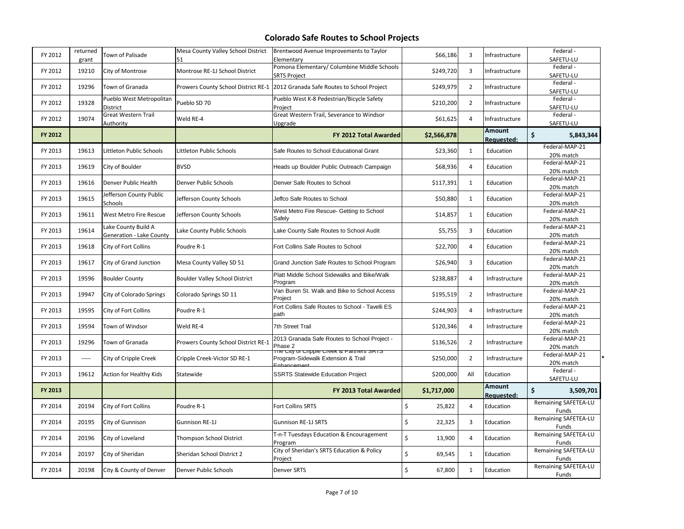| FY 2012 | returned<br>grant | Town of Palisade                                       | Mesa County Valley School District<br>51 | Brentwood Avenue Improvements to Taylor<br>Elementary                           | \$66,186     | 3              | Infrastructure              | Federal-<br>SAFETU-LU         |
|---------|-------------------|--------------------------------------------------------|------------------------------------------|---------------------------------------------------------------------------------|--------------|----------------|-----------------------------|-------------------------------|
| FY 2012 | 19210             | City of Montrose                                       | Montrose RE-1J School District           | Pomona Elementary/ Columbine Middle Schools<br><b>SRTS Project</b>              | \$249,720    | 3              | Infrastructure              | Federal-<br>SAFETU-LU         |
| FY 2012 | 19296             | Town of Granada                                        |                                          | Prowers County School District RE-1 2012 Granada Safe Routes to School Project  | \$249,979    | $\overline{2}$ | Infrastructure              | Federal-<br>SAFETU-LU         |
| FY 2012 | 19328             | Pueblo West Metropolitan<br>District                   | Pueblo SD 70                             | Pueblo West K-8 Pedestrian/Bicycle Safety<br>Project                            | \$210,200    | $\overline{2}$ | Infrastructure              | Federal-<br>SAFETU-LU         |
| FY 2012 | 19074             | <b>Great Western Trail</b><br>Authority                | Weld RE-4                                | Great Western Trail, Severance to Windsor<br>Upgrade                            | \$61,625     | 4              | Infrastructure              | Federal-<br>SAFETU-LU         |
| FY 2012 |                   |                                                        |                                          | <b>FY 2012 Total Awarded</b>                                                    | \$2,566,878  |                | Amount<br>Requested:        | \$<br>5,843,344               |
| FY 2013 | 19613             | ittleton Public Schools.                               | Littleton Public Schools                 | Safe Routes to School Educational Grant                                         | \$23,360     | $\mathbf{1}$   | Education                   | Federal-MAP-21<br>20% match   |
| FY 2013 | 19619             | City of Boulder                                        | <b>BVSD</b>                              | Heads up Boulder Public Outreach Campaign                                       | \$68,936     | 4              | Education                   | Federal-MAP-21<br>20% match   |
| FY 2013 | 19616             | Denver Public Health                                   | <b>Denver Public Schools</b>             | Denver Safe Routes to School                                                    | \$117,391    | $\mathbf{1}$   | Education                   | Federal-MAP-21<br>20% match   |
| FY 2013 | 19615             | Jefferson County Public<br>Schools                     | Jefferson County Schools                 | Jeffco Safe Routes to School                                                    | \$50,880     | $\mathbf{1}$   | Education                   | Federal-MAP-21<br>20% match   |
| FY 2013 | 19611             | West Metro Fire Rescue                                 | Jefferson County Schools                 | West Metro Fire Rescue- Getting to School<br>Safely                             | \$14,857     | $\mathbf{1}$   | Education                   | Federal-MAP-21<br>20% match   |
| FY 2013 | 19614             | Lake County Build A<br><b>Generation - Lake County</b> | Lake County Public Schools               | Lake County Safe Routes to School Audit                                         | \$5,755      | 3              | Education                   | Federal-MAP-21<br>20% match   |
| FY 2013 | 19618             | City of Fort Collins                                   | Poudre R-1                               | Fort Collins Safe Routes to School                                              | \$22,700     | 4              | Education                   | Federal-MAP-21<br>20% match   |
| FY 2013 | 19617             | City of Grand Junction                                 | Mesa County Valley SD 51                 | Grand Junction Safe Routes to School Program                                    | \$26,940     | 3              | Education                   | Federal-MAP-21<br>20% match   |
| FY 2013 | 19596             | <b>Boulder County</b>                                  | <b>Boulder Valley School District</b>    | Platt Middle School Sidewalks and Bike/Walk<br>Program                          | \$238,887    | 4              | Infrastructure              | Federal-MAP-21<br>20% match   |
| FY 2013 | 19947             | City of Colorado Springs                               | Colorado Springs SD 11                   | Van Buren St. Walk and Bike to School Access<br>Project                         | \$195,519    | $\overline{2}$ | Infrastructure              | Federal-MAP-21<br>20% match   |
| FY 2013 | 19595             | City of Fort Collins                                   | Poudre R-1                               | Fort Collins Safe Routes to School - Tavelli ES<br>path                         | \$244,903    | 4              | Infrastructure              | Federal-MAP-21<br>20% match   |
| FY 2013 | 19594             | Town of Windsor                                        | Weld RE-4                                | 7th Street Trail                                                                | \$120,346    | 4              | Infrastructure              | Federal-MAP-21<br>20% match   |
| FY 2013 | 19296             | Town of Granada                                        | Prowers County School District RE-1      | 2013 Granada Safe Routes to School Project -<br>Phase 2                         | \$136,526    | $\overline{2}$ | Infrastructure              | Federal-MAP-21<br>20% match   |
| FY 2013 | -----             | City of Cripple Creek                                  | Cripple Creek-Victor SD RE-1             | the City of Cripple Creek & Partners SRTS<br>Program-Sidewalk Extension & Trail | \$250,000    | $\overline{2}$ | Infrastructure              | Federal-MAP-21<br>20% match   |
| FY 2013 | 19612             | <b>Action for Healthy Kids</b>                         | Statewide                                | <b>SSRTS Statewide Education Project</b>                                        | \$200,000    | All            | Education                   | Federal-<br>SAFETU-LU         |
| FY 2013 |                   |                                                        |                                          | FY 2013 Total Awarded                                                           | \$1,717,000  |                | Amount<br><b>Requested:</b> | \$<br>3,509,701               |
| FY 2014 | 20194             | City of Fort Collins                                   | Poudre R-1                               | Fort Collins SRTS                                                               | \$<br>25,822 | $\overline{4}$ | Education                   | Remaining SAFETEA-LU<br>Funds |
| FY 2014 | 20195             | City of Gunnison                                       | Gunnison RE-1J                           | Gunnison RE-1J SRTS                                                             | \$<br>22,325 | 3              | Education                   | Remaining SAFETEA-LU<br>Funds |
| FY 2014 | 20196             | City of Loveland                                       | Thompson School District                 | T-n-T Tuesdays Education & Encouragement<br>Program                             | \$<br>13,900 | $\overline{4}$ | Education                   | Remaining SAFETEA-LU<br>Funds |
| FY 2014 | 20197             | City of Sheridan                                       | Sheridan School District 2               | City of Sheridan's SRTS Education & Policy<br>Project                           | \$<br>69,545 | $\mathbf{1}$   | Education                   | Remaining SAFETEA-LU<br>Funds |
| FY 2014 | 20198             | City & County of Denver                                | Denver Public Schools                    | <b>Denver SRTS</b>                                                              | \$<br>67,800 | $\mathbf{1}$   | Education                   | Remaining SAFETEA-LU<br>Funds |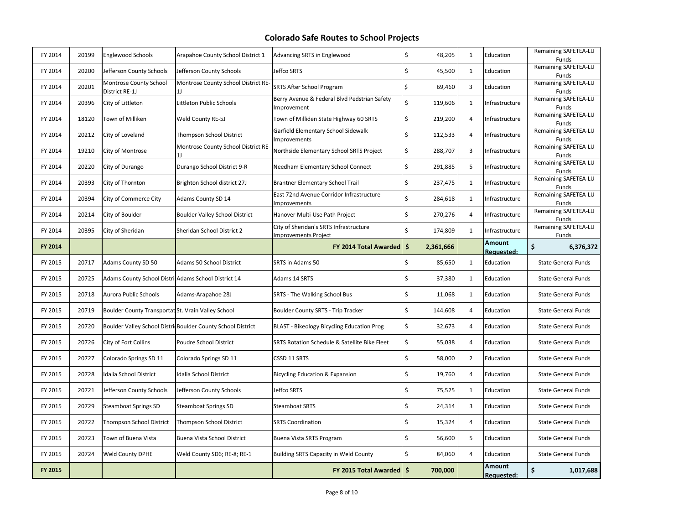| FY 2014 | 20199 | <b>Englewood Schools</b>                            | Arapahoe County School District 1                            | <b>Advancing SRTS in Englewood</b>                              | \$<br>48,205  | $\mathbf{1}$   | Education            | Remaining SAFETEA-LU<br>Funds |
|---------|-------|-----------------------------------------------------|--------------------------------------------------------------|-----------------------------------------------------------------|---------------|----------------|----------------------|-------------------------------|
| FY 2014 | 20200 | Jefferson County Schools                            | Jefferson County Schools                                     | Jeffco SRTS                                                     | \$<br>45,500  | $\mathbf{1}$   | Education            | Remaining SAFETEA-LU<br>Funds |
| FY 2014 | 20201 | Montrose County School<br>District RE-1J            | Montrose County School District RE-                          | <b>SRTS After School Program</b>                                | \$<br>69,460  | 3              | Education            | Remaining SAFETEA-LU<br>Funds |
| FY 2014 | 20396 | City of Littleton                                   | Littleton Public Schools                                     | Berry Avenue & Federal Blvd Pedstrian Safety<br>mprovement      | \$<br>119,606 | $\mathbf{1}$   | Infrastructure       | Remaining SAFETEA-LU<br>Funds |
| FY 2014 | 18120 | Town of Milliken                                    | Weld County RE-5J                                            | Town of Milliden State Highway 60 SRTS                          | \$<br>219,200 | $\overline{4}$ | Infrastructure       | Remaining SAFETEA-LU<br>Funds |
| FY 2014 | 20212 | City of Loveland                                    | Thompson School District                                     | Garfield Elementary School Sidewalk<br><b>Improvements</b>      | \$<br>112,533 | 4              | Infrastructure       | Remaining SAFETEA-LU<br>Funds |
| FY 2014 | 19210 | City of Montrose                                    | Montrose County School District RE-                          | Northside Elementary School SRTS Project                        | \$<br>288,707 | 3              | Infrastructure       | Remaining SAFETEA-LU<br>Funds |
| FY 2014 | 20220 | City of Durango                                     | Durango School District 9-R                                  | Needham Elementary School Connect                               | \$<br>291,885 | 5              | Infrastructure       | Remaining SAFETEA-LU<br>Funds |
| FY 2014 | 20393 | City of Thornton                                    | Brighton School district 27J                                 | Brantner Elementary School Trail                                | \$<br>237,475 | $\mathbf{1}$   | Infrastructure       | Remaining SAFETEA-LU<br>Funds |
| FY 2014 | 20394 | City of Commerce City                               | Adams County SD 14                                           | East 72nd Avenue Corridor Infrastructure<br><b>Improvements</b> | \$<br>284,618 | $\mathbf{1}$   | Infrastructure       | Remaining SAFETEA-LU<br>Funds |
| FY 2014 | 20214 | City of Boulder                                     | <b>Boulder Valley School District</b>                        | Hanover Multi-Use Path Project                                  | \$<br>270,276 | 4              | Infrastructure       | Remaining SAFETEA-LU<br>Funds |
| FY 2014 | 20395 | City of Sheridan                                    | Sheridan School District 2                                   | City of Sheridan's SRTS Infrastructure<br>Improvements Project  | \$<br>174,809 | 1              | Infrastructure       | Remaining SAFETEA-LU<br>Funds |
| FY 2014 |       |                                                     |                                                              | FY 2014 Total Awarded   \$                                      | 2,361,666     |                | Amount<br>Requested: | \$<br>6,376,372               |
| FY 2015 | 20717 | Adams County SD 50                                  | Adams 50 School District                                     | <b>SRTS in Adams 50</b>                                         | \$<br>85,650  | $\mathbf{1}$   | Education            | <b>State General Funds</b>    |
| FY 2015 | 20725 | Adams County School DistricAdams School District 14 |                                                              | Adams 14 SRTS                                                   | \$<br>37,380  | $\mathbf{1}$   | Education            | <b>State General Funds</b>    |
| FY 2015 | 20718 | Aurora Public Schools                               | Adams-Arapahoe 28J                                           | SRTS - The Walking School Bus                                   | \$<br>11,068  | $\mathbf{1}$   | Education            | <b>State General Funds</b>    |
| FY 2015 | 20719 | Boulder County Transportat St. Vrain Valley School  |                                                              | Boulder County SRTS - Trip Tracker                              | \$<br>144,608 | $\overline{4}$ | Education            | <b>State General Funds</b>    |
| FY 2015 | 20720 |                                                     | Boulder Valley School Distric Boulder County School District | BLAST - Bikeology Bicycling Education Prog                      | \$<br>32,673  | $\overline{4}$ | Education            | <b>State General Funds</b>    |
| FY 2015 | 20726 | City of Fort Collins                                | Poudre School District                                       | SRTS Rotation Schedule & Satellite Bike Fleet                   | \$<br>55,038  | $\overline{4}$ | Education            | <b>State General Funds</b>    |
| FY 2015 | 20727 | Colorado Springs SD 11                              | Colorado Springs SD 11                                       | CSSD 11 SRTS                                                    | \$<br>58,000  | $\overline{2}$ | Education            | <b>State General Funds</b>    |
| FY 2015 | 20728 | Idalia School District                              | Idalia School District                                       | <b>Bicycling Education &amp; Expansion</b>                      | \$<br>19,760  | $\overline{4}$ | Education            | <b>State General Funds</b>    |
| FY 2015 | 20721 | Jefferson County Schools                            | Jefferson County Schools                                     | Jeffco SRTS                                                     | \$<br>75,525  | $\mathbf{1}$   | Education            | <b>State General Funds</b>    |
| FY 2015 | 20729 | Steamboat Springs SD                                | Steamboat Springs SD                                         | <b>Steamboat SRTS</b>                                           | \$<br>24,314  | 3              | Education            | <b>State General Funds</b>    |
| FY 2015 | 20722 | Thompson School District                            | Thompson School District                                     | <b>SRTS Coordination</b>                                        | Ś<br>15,324   | $\overline{4}$ | Education            | <b>State General Funds</b>    |
| FY 2015 | 20723 | Town of Buena Vista                                 | Buena Vista School District                                  | Buena Vista SRTS Program                                        | \$<br>56,600  | 5              | Education            | <b>State General Funds</b>    |
| FY 2015 | 20724 | <b>Weld County DPHE</b>                             | Weld County SD6; RE-8; RE-1                                  | <b>Building SRTS Capacity in Weld County</b>                    | \$<br>84,060  | $\overline{4}$ | Education            | <b>State General Funds</b>    |
| FY 2015 |       |                                                     |                                                              | FY 2015 Total Awarded   \$                                      | 700,000       |                | Amount<br>Requested: | \$<br>1,017,688               |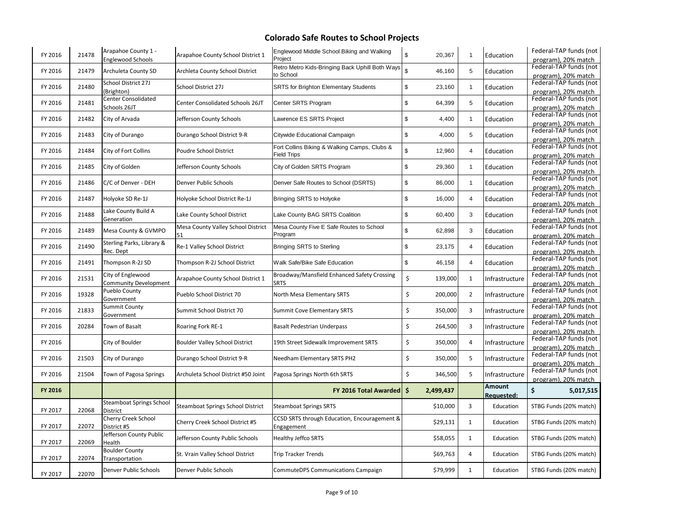| FY 2016 | 21478 | Arapahoe County 1 -<br>Englewood Schools    | Arapahoe County School District 1        | Englewood Middle School Biking and Walking<br>Project              | \$<br>20,367             | -1             | Education                   | Federal-TAP funds (not<br>program). 20% match |
|---------|-------|---------------------------------------------|------------------------------------------|--------------------------------------------------------------------|--------------------------|----------------|-----------------------------|-----------------------------------------------|
| FY 2016 | 21479 | Archuleta County SD                         | Archleta County School District          | Retro Metro Kids-Bringing Back Uphill Both Ways<br>to School       | $\mathfrak{s}$<br>46,160 | 5              | Education                   | Federal-TAP funds (not<br>program), 20% match |
| FY 2016 | 21480 | School District 27J<br>(Brighton)           | School District 27J                      | <b>SRTS for Brighton Elementary Students</b>                       | \$<br>23,160             | $\overline{1}$ | Education                   | Federal-TAP funds (not<br>program), 20% match |
| FY 2016 | 21481 | Center Consolidated<br>Schools 26JT         | <b>Center Consolidated Schools 26JT</b>  | Center SRTS Program                                                | \$<br>64,399             | 5              | Education                   | Federal-TAP funds (not<br>program), 20% match |
| FY 2016 | 21482 | City of Arvada                              | Jefferson County Schools                 | Lawrence ES SRTS Project                                           | \$<br>4,400              | $\overline{1}$ | Education                   | Federal-TAP funds (not<br>program), 20% match |
| FY 2016 | 21483 | City of Durango                             | Durango School District 9-R              | Citywide Educational Campaign                                      | \$<br>4,000              | 5              | Education                   | Federal-TAP funds (not<br>program), 20% match |
| FY 2016 | 21484 | City of Fort Collins                        | Poudre School District                   | Fort Collins Biking & Walking Camps, Clubs &<br><b>Field Trips</b> | $\mathbb{S}$<br>12,960   | $\overline{4}$ | Education                   | Federal-TAP funds (not<br>program), 20% match |
| FY 2016 | 21485 | City of Golden                              | Jefferson County Schools                 | City of Golden SRTS Program                                        | \$<br>29,360             | $\mathbf{1}$   | Education                   | Federal-TAP funds (not<br>program), 20% match |
| FY 2016 | 21486 | C/C of Denver - DEH                         | Denver Public Schools                    | Denver Safe Routes to School (DSRTS)                               | \$<br>86,000             | $\overline{1}$ | Education                   | Federal-TAP funds (not<br>program), 20% match |
| FY 2016 | 21487 | Holyoke SD Re-1J                            | Holyoke School District Re-1J            | Bringing SRTS to Holyoke                                           | \$<br>16,000             | $\overline{4}$ | Education                   | Federal-TAP funds (not<br>program), 20% match |
| FY 2016 | 21488 | Lake County Build A<br>Generation           | Lake County School District              | Lake County BAG SRTS Coalition                                     | \$<br>60,400             | 3              | Education                   | Federal-TAP funds (not<br>program), 20% match |
| FY 2016 | 21489 | Mesa County & GVMPO                         | Mesa County Valley School District<br>51 | Mesa County Five E Safe Routes to School<br>Program                | \$<br>62,898             | 3              | Education                   | Federal-TAP funds (not<br>program), 20% match |
| FY 2016 | 21490 | Sterling Parks, Library &<br>Rec. Dept      | Re-1 Valley School District              | Bringing SRTS to Sterling                                          | \$<br>23,175             | $\overline{4}$ | Education                   | Federal-TAP funds (not<br>program), 20% match |
| FY 2016 | 21491 | Thompson R-2J SD                            | Thompson R-2J School District            | Walk Safe/Bike Safe Education                                      | \$<br>46,158             | $\overline{4}$ | Education                   | Federal-TAP funds (not<br>program), 20% match |
| FY 2016 | 21531 | City of Englewood<br>Community Development  | Arapahoe County School District 1        | Broadway/Mansfield Enhanced Safety Crossing<br><b>SRTS</b>         | \$<br>139,000            | $\mathbf{1}$   | Infrastructure              | Federal-TAP funds (not<br>program), 20% match |
| FY 2016 | 19328 | Pueblo County<br>Government                 | Pueblo School District 70                | North Mesa Elementary SRTS                                         | \$<br>200,000            | $\overline{2}$ | Infrastructure              | Federal-TAP funds (not<br>program), 20% match |
| FY 2016 | 21833 | Summit County<br>Government                 | Summit School District 70                | <b>Summit Cove Elementary SRTS</b>                                 | \$<br>350,000            | 3              | Infrastructure              | Federal-TAP funds (not<br>program), 20% match |
| FY 2016 | 20284 | Town of Basalt                              | Roaring Fork RE-1                        | <b>Basalt Pedestrian Underpass</b>                                 | \$<br>264,500            | 3              | Infrastructure              | Federal-TAP funds (not<br>program), 20% match |
| FY 2016 |       | City of Boulder                             | <b>Boulder Valley School District</b>    | 19th Street Sidewalk Improvement SRTS                              | \$<br>350,000            | $\overline{4}$ | Infrastructure              | Federal-TAP funds (not<br>program), 20% match |
| FY 2016 | 21503 | City of Durango                             | Durango School District 9-R              | Needham Elementary SRTS PH2                                        | \$<br>350,000            | 5              | Infrastructure              | Federal-TAP funds (not<br>program), 20% match |
| FY 2016 | 21504 | Town of Pagosa Springs                      | Archuleta School District #50 Joint      | Pagosa Springs North 6th SRTS                                      | \$<br>346,500            | 5              | Infrastructure              | Federal-TAP funds (not<br>program). 20% match |
| FY 2016 |       |                                             |                                          | FY 2016 Total Awarded   \$                                         | 2,499,437                |                | Amount<br><b>Requested:</b> | \$<br>5,017,515                               |
| FY 2017 | 22068 | <b>Steamboat Springs School</b><br>District | Steamboat Springs School District        | <b>Steamboat Springs SRTS</b>                                      | \$10,000                 | 3              | Education                   | STBG Funds (20% match)                        |
| FY 2017 | 22072 | Cherry Creek School<br>District #5          | Cherry Creek School District #5          | CCSD SRTS through Education, Encouragement &<br>Engagement         | \$29,131                 | $\mathbf{1}$   | Education                   | STBG Funds (20% match)                        |
| FY 2017 |       | Jefferson County Public                     | Jefferson County Public Schools          | <b>Healthy Jeffco SRTS</b>                                         | \$58,055                 | $\mathbf{1}$   | Education                   | STBG Funds (20% match)                        |
|         | 22069 | Health                                      |                                          |                                                                    |                          |                |                             |                                               |
| FY 2017 | 22074 | <b>Boulder County</b><br>Transportation     | St. Vrain Valley School District         | <b>Trip Tracker Trends</b>                                         | \$69,763                 | $\sqrt{4}$     | Education                   | STBG Funds (20% match)                        |